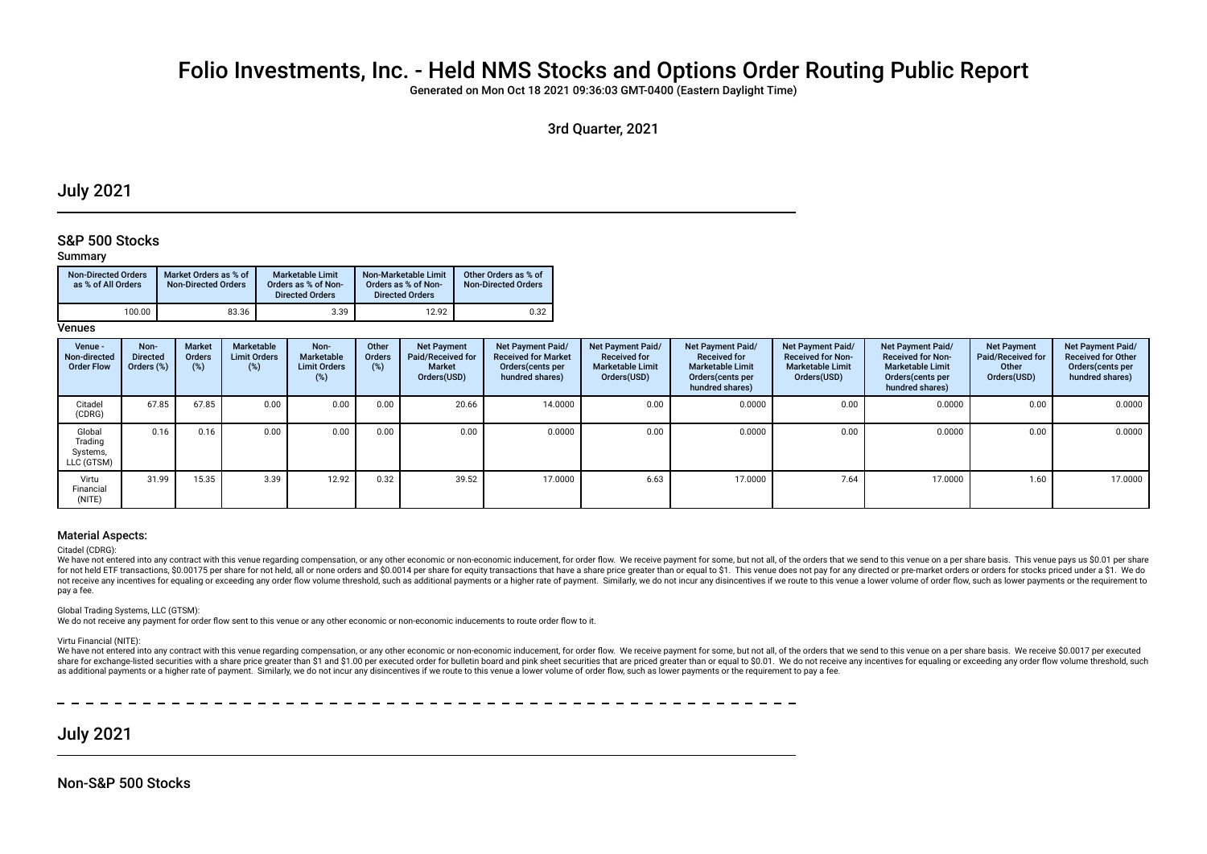# Folio Investments, Inc. - Held NMS Stocks and Options Order Routing Public Report

Generated on Mon Oct 18 2021 09:36:03 GMT-0400 (Eastern Daylight Time)

## 3rd Quarter, 2021

## July 2021

## S&P 500 Stocks

### Summary

| <b>Non-Directed Orders</b><br>as % of All Orders | Market Orders as % of<br><b>Non-Directed Orders</b> | <b>Marketable Limit</b><br>Orders as % of Non-<br><b>Directed Orders</b> | Non-Marketable Limit<br>Orders as % of Non-<br><b>Directed Orders</b> | Other Orders as % of<br><b>Non-Directed Orders</b> |
|--------------------------------------------------|-----------------------------------------------------|--------------------------------------------------------------------------|-----------------------------------------------------------------------|----------------------------------------------------|
| 100.00                                           | 83.36                                               | 3.39                                                                     | 12.92                                                                 | 0.32                                               |

**Venues** 

| Venue -<br>Non-directed<br><b>Order Flow</b> | Non-<br><b>Directed</b><br>Orders (%) | <b>Market</b><br>Orders<br>(%) | Marketable<br><b>Limit Orders</b><br>(%) | Non-<br>Marketable<br><b>Limit Orders</b><br>(%) | Other<br><b>Orders</b><br>(%) | <b>Net Payment</b><br><b>Paid/Received for</b><br>Market<br>Orders(USD) | Net Payment Paid/<br><b>Received for Market</b><br>Orders(cents per<br>hundred shares) | Net Payment Paid/<br><b>Received for</b><br><b>Marketable Limit</b><br>Orders(USD) | <b>Net Payment Paid/</b><br><b>Received for</b><br><b>Marketable Limit</b><br>Orders (cents per<br>hundred shares) | Net Payment Paid/<br><b>Received for Non-</b><br><b>Marketable Limit</b><br>Orders(USD) | Net Payment Paid/<br><b>Received for Non-</b><br><b>Marketable Limit</b><br>Orders (cents per<br>hundred shares) | <b>Net Payment</b><br>Paid/Received for<br>Other<br>Orders(USD) | Net Payment Paid/<br><b>Received for Other</b><br>Orders (cents per<br>hundred shares) |
|----------------------------------------------|---------------------------------------|--------------------------------|------------------------------------------|--------------------------------------------------|-------------------------------|-------------------------------------------------------------------------|----------------------------------------------------------------------------------------|------------------------------------------------------------------------------------|--------------------------------------------------------------------------------------------------------------------|-----------------------------------------------------------------------------------------|------------------------------------------------------------------------------------------------------------------|-----------------------------------------------------------------|----------------------------------------------------------------------------------------|
| Citadel<br>(CDRG)                            | 67.85                                 | 67.85                          | 0.00                                     | 0.00                                             | 0.00                          | 20.66                                                                   | 14.0000                                                                                | 0.00                                                                               | 0.0000                                                                                                             | 0.00                                                                                    | 0.0000                                                                                                           | 0.00                                                            | 0.0000                                                                                 |
| Global<br>Trading<br>Systems,<br>LLC (GTSM)  | 0.16                                  | 0.16                           | 0.00                                     | 0.00                                             | 0.00                          | 0.00                                                                    | 0.0000                                                                                 | 0.00                                                                               | 0.0000                                                                                                             | 0.00                                                                                    | 0.0000                                                                                                           | 0.00                                                            | 0.0000                                                                                 |
| Virtu<br>Financial<br>(NITE)                 | 31.99                                 | 15.35                          | 3.39                                     | 12.92                                            | 0.32                          | 39.52                                                                   | 17.0000                                                                                | 6.63                                                                               | 17.0000                                                                                                            | 7.64                                                                                    | 17.0000                                                                                                          | 1.60                                                            | 17.0000                                                                                |

#### Material Aspects:

#### Citadel (CDRG):

We have not entered into any contract with this venue regarding compensation, or any other economic or non-economic inducement, for order flow. We receive payment for some, but not all, of the orders that we send to this v for not held ETF transactions. \$0.00175 per share for not held, all or none orders and \$0.0014 per share for equity transactions that have a share price greater than or equal to \$1. This venue does not pay for any directed not receive any incentives for equaling or exceeding any order flow volume threshold, such as additional payments or a higher rate of payment. Similarly, we do not incur any disincentives if we route to this venue a lower pay a fee.

Global Trading Systems, LLC (GTSM):

We do not receive any payment for order flow sent to this venue or any other economic or non-economic inducements to route order flow to it.

Virtu Financial (NITE):

We have not entered into any contract with this venue regarding compensation, or any other economic or non-economic inducement, for order flow. We receive payment for some, but not all, of the orders that we send to this v share for exchange-listed securities with a share price greater than \$1 and \$1.00 per executed order for bulletin board and pink sheet securities that are priced greater than or equal to \$0.01. We do not receive any incent as additional payments or a higher rate of payment. Similarly, we do not incur any disincentives if we route to this venue a lower volume of order flow, such as lower payments or the requirement to pay a fee.

## July 2021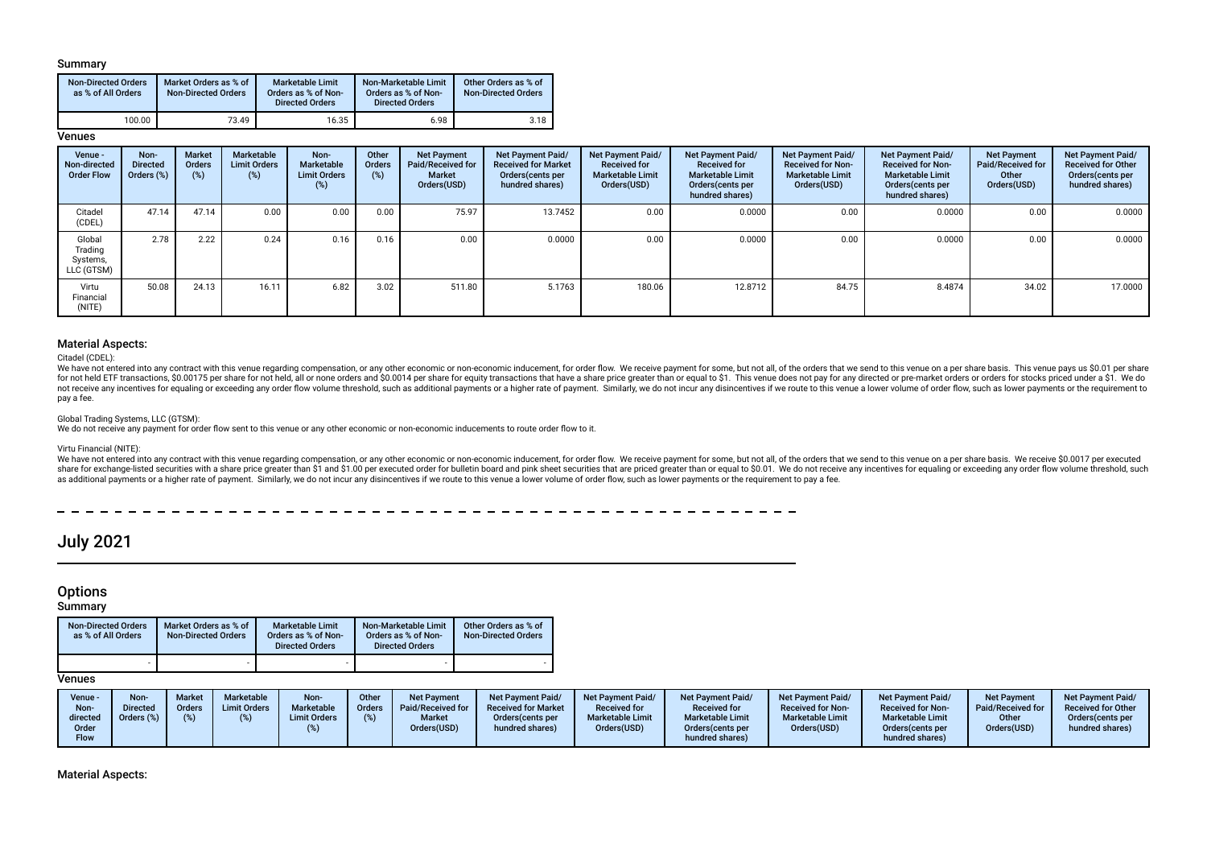### Summary

| <b>Non-Directed Orders</b><br>as % of All Orders | Market Orders as % of<br><b>Non-Directed Orders</b> | Marketable Limit<br>Orders as % of Non-<br><b>Directed Orders</b> | Non-Marketable Limit<br>Orders as % of Non-<br><b>Directed Orders</b> | Other Orders as % of<br><b>Non-Directed Orders</b> |
|--------------------------------------------------|-----------------------------------------------------|-------------------------------------------------------------------|-----------------------------------------------------------------------|----------------------------------------------------|
| 100.00                                           | 73.49                                               | 16.35                                                             | 6.98                                                                  | 3.18                                               |

### **Venues**

| Venue -<br>Non-directed<br><b>Order Flow</b> | Non-<br><b>Directed</b><br>Orders (%) | <b>Market</b><br>Orders<br>(%) | Marketable<br><b>Limit Orders</b><br>(%) | Non-<br>Marketable<br><b>Limit Orders</b><br>(%) | Other<br><b>Orders</b><br>(%) | <b>Net Payment</b><br>Paid/Received for<br><b>Market</b><br>Orders(USD) | Net Payment Paid/<br><b>Received for Market</b><br>Orders(cents per<br>hundred shares) | Net Payment Paid/<br><b>Received for</b><br><b>Marketable Limit</b><br>Orders(USD) | <b>Net Payment Paid/</b><br><b>Received for</b><br><b>Marketable Limit</b><br>Orders (cents per<br>hundred shares) | Net Payment Paid/<br><b>Received for Non-</b><br><b>Marketable Limit</b><br>Orders(USD) | Net Payment Paid/<br><b>Received for Non-</b><br><b>Marketable Limit</b><br>Orders (cents per<br>hundred shares) | <b>Net Payment</b><br>Paid/Received for<br>Other<br>Orders(USD) | Net Payment Paid/<br><b>Received for Other</b><br>Orders(cents per<br>hundred shares) |
|----------------------------------------------|---------------------------------------|--------------------------------|------------------------------------------|--------------------------------------------------|-------------------------------|-------------------------------------------------------------------------|----------------------------------------------------------------------------------------|------------------------------------------------------------------------------------|--------------------------------------------------------------------------------------------------------------------|-----------------------------------------------------------------------------------------|------------------------------------------------------------------------------------------------------------------|-----------------------------------------------------------------|---------------------------------------------------------------------------------------|
| Citadel<br>(CDEL)                            | 47.14                                 | 47.14                          | 0.00                                     | 0.00                                             | 0.00                          | 75.97                                                                   | 13.7452                                                                                | 0.00                                                                               | 0.0000                                                                                                             | 0.00                                                                                    | 0.0000                                                                                                           | 0.00                                                            | 0.0000                                                                                |
| Global<br>Trading<br>Systems,<br>LLC (GTSM)  | 2.78                                  | 2.22                           | 0.24                                     | 0.16                                             | 0.16                          | 0.00                                                                    | 0.0000                                                                                 | 0.00                                                                               | 0.0000                                                                                                             | 0.00                                                                                    | 0.0000                                                                                                           | 0.00                                                            | 0.0000                                                                                |
| Virtu<br>Financial<br>(NITE)                 | 50.08                                 | 24.13                          | 16.11                                    | 6.82                                             | 3.02                          | 511.80                                                                  | 5.1763                                                                                 | 180.06                                                                             | 12.8712                                                                                                            | 84.75                                                                                   | 8.4874                                                                                                           | 34.02                                                           | 17.0000                                                                               |

### Material Aspects:

Citadel (CDEL):

We have not entered into any contract with this venue regarding compensation, or any other economic or non-economic inducement, for order flow. We receive payment for some, but not all, of the orders that we send to this v for not held ETF transactions, \$0,00175 per share for not held, all or none orders and \$0,0014 per share for equity transactions that have a share price greater than or equal to \$1. This yenue does not pay for any directed not receive any incentives for equaling or exceeding any order flow volume threshold, such as additional payments or a higher rate of payment. Similarly, we do not incur any disincentives if we route to this venue a lower pay a fee.

#### Global Trading Systems, LLC (GTSM):

We do not receive any payment for order flow sent to this venue or any other economic or non-economic inducements to route order flow to it.

#### Virtu Financial (NITE):

We have not entered into any contract with this venue regarding compensation, or any other economic or non-economic inducement, for order flow. We receive payment for some, but not all, of the orders that we send to this v share for exchange-listed securities with a share price greater than \$1 and \$1.00 per executed order for bulletin board and pink sheet securities that are priced greater than or equal to \$0.01. We do not receive any incent as additional payments or a higher rate of payment. Similarly, we do not incur any disincentives if we route to this venue a lower volume of order flow, such as lower payments or the requirement to pay a fee.

 $- - - - - -$ 

# July 2021

## **Options**

#### **Summary**

| <b>Non-Directed Orders</b><br>as % of All Orders | Market Orders as % of<br><b>Non-Directed Orders</b> | <b>Marketable Limit</b><br>Orders as % of Non-<br><b>Directed Orders</b> | Non-Marketable Limit<br>Orders as % of Non-<br><b>Directed Orders</b> | Other Orders as % of<br><b>Non-Directed Orders</b> |
|--------------------------------------------------|-----------------------------------------------------|--------------------------------------------------------------------------|-----------------------------------------------------------------------|----------------------------------------------------|
|                                                  |                                                     |                                                                          |                                                                       |                                                    |

### **Venues**

Material Aspects: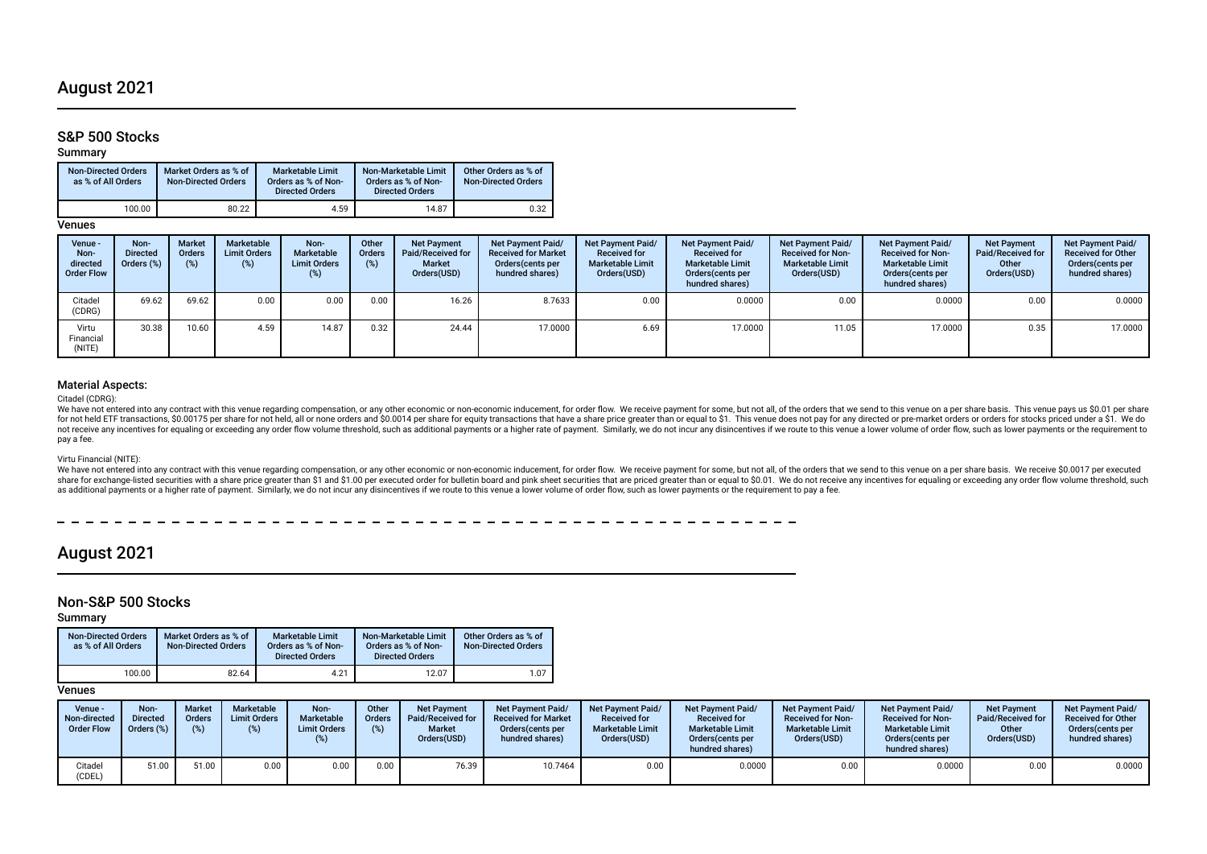## August 2021

## S&P 500 Stocks

Summary

| <b>Non-Directed Orders</b><br>as % of All Orders | Market Orders as % of<br><b>Non-Directed Orders</b> | <b>Marketable Limit</b><br>Orders as % of Non-<br><b>Directed Orders</b> | Non-Marketable Limit<br>Orders as % of Non-<br><b>Directed Orders</b> | Other Orders as % of<br><b>Non-Directed Orders</b> |
|--------------------------------------------------|-----------------------------------------------------|--------------------------------------------------------------------------|-----------------------------------------------------------------------|----------------------------------------------------|
| 100.00                                           | 80.22                                               | 4.59                                                                     | 14.87                                                                 | 0.32                                               |

Venues

| Venue -<br>Non-<br>directed<br><b>Order Flow</b> | Non-<br><b>Directed</b><br>Orders (%) | <b>Market</b><br><b>Orders</b><br>(%) | Marketable<br><b>Limit Orders</b><br>(%) | Non-<br>Marketable<br><b>Limit Orders</b><br>$(\%)$ | Other<br>Orders<br>(%) | <b>Net Payment</b><br>Paid/Received for<br>Market<br>Orders(USD) | <b>Net Payment Paid/</b><br><b>Received for Market</b><br>Orders (cents per<br>hundred shares) | Net Payment Paid/<br><b>Received for</b><br><b>Marketable Limit</b><br>Orders(USD) | <b>Net Payment Paid/</b><br><b>Received for</b><br><b>Marketable Limit</b><br>Orders (cents per<br>hundred shares) | Net Payment Paid/<br><b>Received for Non-</b><br><b>Marketable Limit</b><br>Orders(USD) | <b>Net Payment Paid/</b><br><b>Received for Non-</b><br><b>Marketable Limit</b><br>Orders (cents per<br>hundred shares) | <b>Net Payment</b><br>Paid/Received for<br>Other<br>Orders(USD) | Net Payment Paid/<br><b>Received for Other</b><br>Orders (cents per<br>hundred shares) |
|--------------------------------------------------|---------------------------------------|---------------------------------------|------------------------------------------|-----------------------------------------------------|------------------------|------------------------------------------------------------------|------------------------------------------------------------------------------------------------|------------------------------------------------------------------------------------|--------------------------------------------------------------------------------------------------------------------|-----------------------------------------------------------------------------------------|-------------------------------------------------------------------------------------------------------------------------|-----------------------------------------------------------------|----------------------------------------------------------------------------------------|
| Citadel<br>(CDRG)                                | 69.62                                 | 69.62                                 | 0.00                                     | 0.00                                                | 0.00                   | 16.26                                                            | 8.7633                                                                                         | 0.00                                                                               | 0.0000                                                                                                             | 0.00                                                                                    | 0.0000                                                                                                                  | 0.00                                                            | 0.0000                                                                                 |
| Virtu<br>Financial<br>(NITE)                     | 30.38                                 | 10.60                                 | 4.59                                     | 14.87                                               | 0.32                   | 24.44                                                            | 17.0000                                                                                        | 6.69                                                                               | 17.0000                                                                                                            | 11.05                                                                                   | 17.0000                                                                                                                 | 0.35                                                            | 17.0000                                                                                |

### Material Aspects:

#### Citadel (CDRG):

We have not entered into any contract with this venue regarding compensation, or any other economic or non-economic inducement, for order flow. We receive payment for some, but not all, of the orders that we send to this v for not held ETF transactions, \$0.00175 per share for not held, all or none orders and \$0.0014 per share for equity transactions that have a share price greater than or equal to \$1. This venue does not pay for any directed not receive any incentives for equaling or exceeding any order flow volume threshold, such as additional payments or a higher rate of payment. Similarly, we do not incur any disincentives if we route to this venue a lower pay a fee.

#### Virtu Financial (NITE):

We have not entered into any contract with this venue regarding compensation, or any other economic or non-economic inducement, for order flow. We receive payment for some, but not all, of the orders that we send to this v share for exchange-listed securities with a share price greater than \$1 and \$1.00 per executed order for bulletin board and pink sheet securities that are priced greater than or equal to \$0.01. We do not receive any incent as additional payments or a higher rate of payment. Similarly, we do not incur any disincentives if we route to this venue a lower volume of order flow, such as lower payments or the requirement to pay a fee.

## August 2021

### Non-S&P 500 Stocks

Summary

| <b>Non-Directed Orders</b><br>as % of All Orders | Market Orders as % of<br><b>Non-Directed Orders</b> | <b>Marketable Limit</b><br>Orders as % of Non-<br><b>Directed Orders</b> | Non-Marketable Limit<br>Orders as % of Non-<br><b>Directed Orders</b> | Other Orders as % of<br><b>Non-Directed Orders</b> |
|--------------------------------------------------|-----------------------------------------------------|--------------------------------------------------------------------------|-----------------------------------------------------------------------|----------------------------------------------------|
| 100.00                                           | 82.64                                               | 4.21                                                                     | 12.07                                                                 | 1.07                                               |

### **Venues**

| Venue -<br>Non-directed<br><b>Order Flow</b> | Non-<br><b>Directed</b><br>Orders (%) | <b>Market</b><br>Orders<br>(%) | Marketable<br><b>Limit Orders</b><br>(%) | Non-<br>Marketable<br><b>Limit Orders</b> | Other<br><b>Orders</b><br>(%) | <b>Net Payment</b><br>Paid/Received for<br><b>Market</b><br>Orders(USD) | <b>Net Payment Paid/</b><br><b>Received for Market</b><br>Orders (cents per<br>hundred shares) | <b>Net Payment Paid/</b><br><b>Received for</b><br><b>Marketable Limit</b><br>Orders(USD) | <b>Net Payment Paid/</b><br><b>Received for</b><br><b>Marketable Limit</b><br>Orders (cents per<br>hundred shares) | <b>Net Payment Paid/</b><br><b>Received for Non-</b><br><b>Marketable Limit</b><br>Orders(USD) | <b>Net Payment Paid/</b><br><b>Received for Non-</b><br><b>Marketable Limit</b><br>Orders (cents per<br>hundred shares) | <b>Net Payment</b><br>Paid/Received for<br>Other<br>Orders(USD) | <b>Net Payment Paid/</b><br><b>Received for Other</b><br>Orders (cents per<br>hundred shares) |
|----------------------------------------------|---------------------------------------|--------------------------------|------------------------------------------|-------------------------------------------|-------------------------------|-------------------------------------------------------------------------|------------------------------------------------------------------------------------------------|-------------------------------------------------------------------------------------------|--------------------------------------------------------------------------------------------------------------------|------------------------------------------------------------------------------------------------|-------------------------------------------------------------------------------------------------------------------------|-----------------------------------------------------------------|-----------------------------------------------------------------------------------------------|
| Citadel<br>(CDEL)                            | 51.00                                 | 51.00                          | 0.00                                     | 0.00                                      | 0.00                          | 76.39                                                                   | 10.7464                                                                                        | 0.00                                                                                      | 0.0000                                                                                                             | 0.00                                                                                           | 0.0000                                                                                                                  | 0.00                                                            | 0.0000                                                                                        |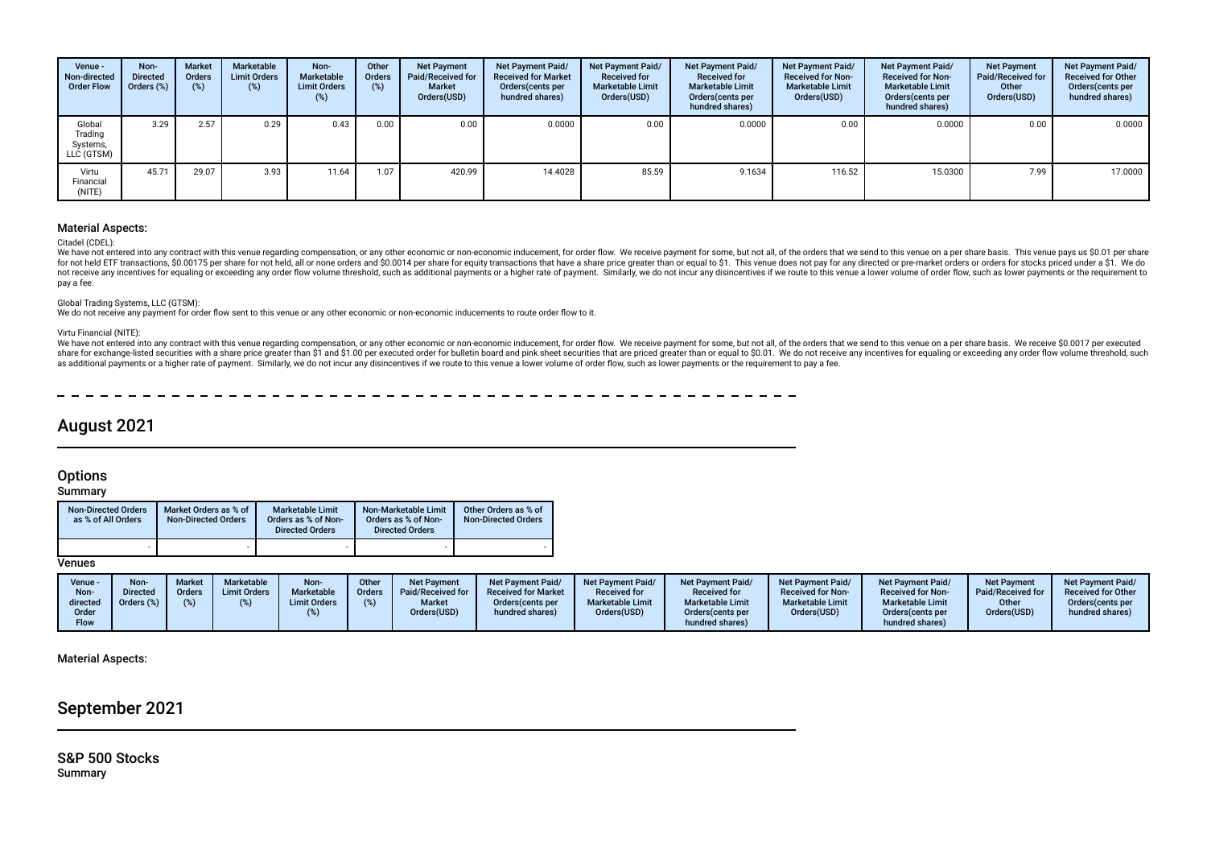| Venue -<br>Non-directed<br><b>Order Flow</b> | Non-<br><b>Directed</b><br>Orders (%) | <b>Market</b><br>Orders<br>(%) | Marketable<br><b>Limit Orders</b><br>(%) | Non-<br>Marketable<br><b>Limit Orders</b><br>(%) | Other<br>Orders<br>(%) | <b>Net Payment</b><br>Paid/Received for<br><b>Market</b><br>Orders(USD) | Net Payment Paid/<br><b>Received for Market</b><br>Orders(cents per<br>hundred shares) | Net Payment Paid/<br><b>Received for</b><br><b>Marketable Limit</b><br>Orders(USD) | <b>Net Payment Paid/</b><br><b>Received for</b><br><b>Marketable Limit</b><br>Orders (cents per<br>hundred shares) | Net Payment Paid/<br><b>Received for Non-</b><br><b>Marketable Limit</b><br>Orders(USD) | <b>Net Payment Paid/</b><br><b>Received for Non-</b><br><b>Marketable Limit</b><br>Orders (cents per<br>hundred shares) | <b>Net Payment</b><br>Paid/Received for<br>Other<br>Orders(USD) | Net Payment Paid/<br><b>Received for Other</b><br>Orders(cents per<br>hundred shares) |
|----------------------------------------------|---------------------------------------|--------------------------------|------------------------------------------|--------------------------------------------------|------------------------|-------------------------------------------------------------------------|----------------------------------------------------------------------------------------|------------------------------------------------------------------------------------|--------------------------------------------------------------------------------------------------------------------|-----------------------------------------------------------------------------------------|-------------------------------------------------------------------------------------------------------------------------|-----------------------------------------------------------------|---------------------------------------------------------------------------------------|
| Global<br>Trading<br>Systems,<br>LLC (GTSM)  | 3.29                                  | 2.57                           | 0.29                                     | 0.43                                             | 0.00                   | 0.00                                                                    | 0.0000                                                                                 | 0.00                                                                               | 0.0000                                                                                                             | 0.00                                                                                    | 0.0000                                                                                                                  | 0.00                                                            | 0.0000                                                                                |
| Virtu<br>Financial<br>(NITE)                 | 45.71                                 | 29.07                          | 3.93                                     | 11.64                                            | 1.07                   | 420.99                                                                  | 14.4028                                                                                | 85.59                                                                              | 9.1634                                                                                                             | 116.52                                                                                  | 15.0300                                                                                                                 | 7.99                                                            | 17.0000                                                                               |

#### Material Aspects:

#### Citadel (CDEL):

We have not entered into any contract with this venue regarding compensation, or any other economic or non-economic inducement, for order flow. We receive payment for some, but not all, of the orders that we send to this v for not held ETF transactions, \$0.00175 per share for not held, all or none orders and \$0.0014 per share for equity transactions that have a share price greater than or equal to \$1. This venue does not pay for any directed not receive any incentives for equaling or exceeding any order flow volume threshold, such as additional payments or a higher rate of payment. Similarly, we do not incur any disincentives if we route to this venue a lower pay a fee.

#### Global Trading Systems, LLC (GTSM):

We do not receive any payment for order flow sent to this venue or any other economic or non-economic inducements to route order flow to it.

#### Virtu Financial (NITE):

We have not entered into any contract with this venue regarding compensation, or any other economic or non-economic inducement, for order flow. We receive payment for some, but not all, of the orders that we send to this v share for exchange-listed securities with a share price greater than \$1 and \$1.00 per executed order for bulletin board and pink sheet securities that are priced greater than or equal to \$0.01. We do not receive any incent as additional payments or a higher rate of payment. Similarly, we do not incur any disincentives if we route to this venue a lower volume of order flow, such as lower payments or the requirement to pay a fee.

## August 2021

## **Options**

### **Summary**

| <b>Non-Directed Orders</b><br>as % of All Orders | Market Orders as % of<br><b>Non-Directed Orders</b> | <b>Marketable Limit</b><br>Orders as % of Non-<br><b>Directed Orders</b> | Non-Marketable Limit<br>Orders as % of Non-<br><b>Directed Orders</b> | Other Orders as % of<br><b>Non-Directed Orders</b> |
|--------------------------------------------------|-----------------------------------------------------|--------------------------------------------------------------------------|-----------------------------------------------------------------------|----------------------------------------------------|
|                                                  |                                                     |                                                                          |                                                                       |                                                    |

### **Venues**

| Venue -<br>Non-<br>directed<br>Order<br><b>Flow</b> | <b>Non</b><br><b>Market</b><br><b>Directed</b><br><b>Orders</b><br>Orders (%)<br>(% ) | Marketable<br><b>Limit Orders</b> | Non-<br>Marketable<br><b>Limit Orders</b> | Other<br>Orders<br>(%) | <b>Net Payment</b><br>Paid/Received for<br><b>Market</b><br>Orders(USD) | Net Payment Paid/<br><b>Received for Market</b><br>Orders (cents per<br>hundred shares) | Net Payment Paid/<br><b>Received for</b><br><b>Marketable Limit</b><br>Orders(USD) | <b>Net Payment Paid/</b><br><b>Received for</b><br><b>Marketable Limit</b><br>Orders (cents per<br>hundred shares) | <b>Net Payment Paid/</b><br><b>Received for Non-</b><br><b>Marketable Limit</b><br>Orders(USD) | <b>Net Payment Paid/</b><br><b>Received for Non-</b><br><b>Marketable Limit</b><br>Orders(cents per<br>hundred shares) | <b>Net Payment</b><br>Paid/Received for<br>Other<br>Orders(USD) | <b>Net Payment Paid/</b><br><b>Received for Other</b><br>Orders(cents per<br>hundred shares) |
|-----------------------------------------------------|---------------------------------------------------------------------------------------|-----------------------------------|-------------------------------------------|------------------------|-------------------------------------------------------------------------|-----------------------------------------------------------------------------------------|------------------------------------------------------------------------------------|--------------------------------------------------------------------------------------------------------------------|------------------------------------------------------------------------------------------------|------------------------------------------------------------------------------------------------------------------------|-----------------------------------------------------------------|----------------------------------------------------------------------------------------------|
|-----------------------------------------------------|---------------------------------------------------------------------------------------|-----------------------------------|-------------------------------------------|------------------------|-------------------------------------------------------------------------|-----------------------------------------------------------------------------------------|------------------------------------------------------------------------------------|--------------------------------------------------------------------------------------------------------------------|------------------------------------------------------------------------------------------------|------------------------------------------------------------------------------------------------------------------------|-----------------------------------------------------------------|----------------------------------------------------------------------------------------------|

#### Material Aspects:

## September 2021

S&P 500 Stocks Summary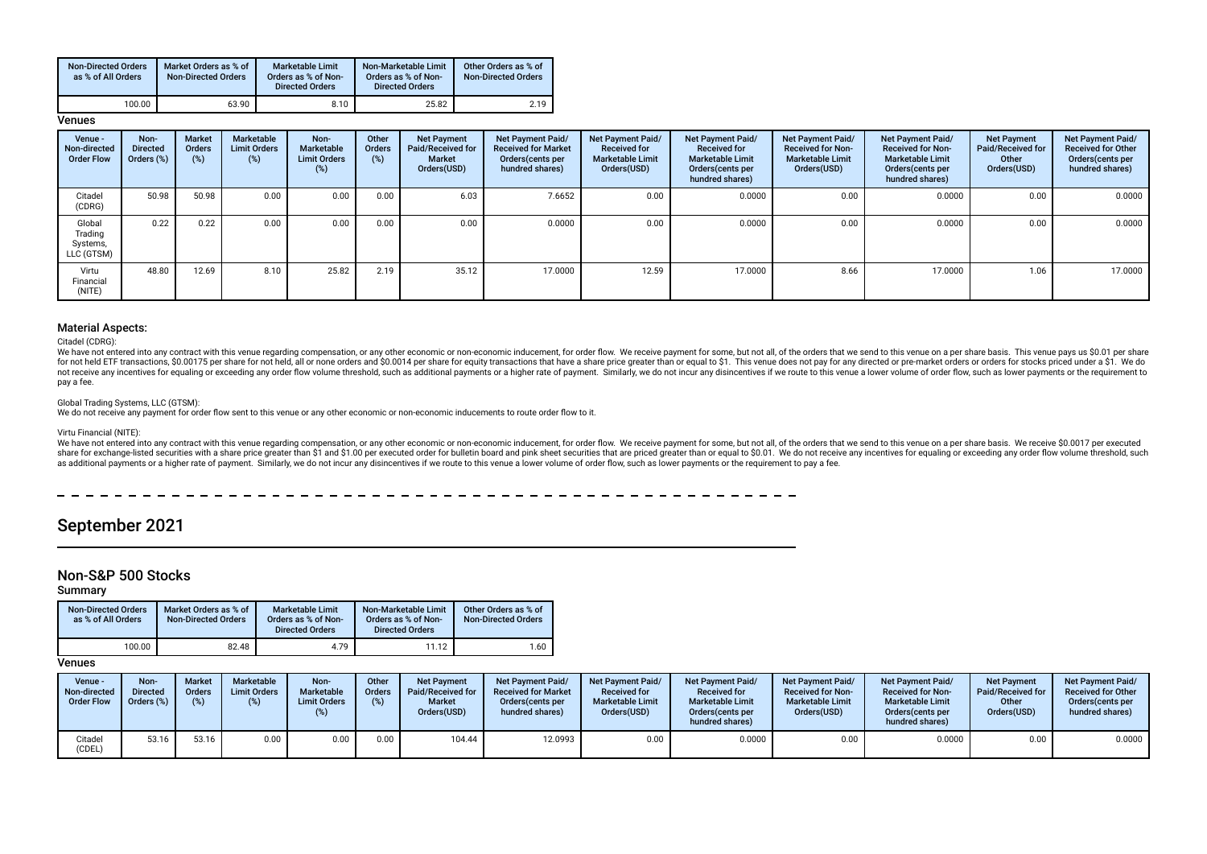| <b>Non-Directed Orders</b><br>as % of All Orders | Market Orders as % of<br><b>Non-Directed Orders</b> | <b>Marketable Limit</b><br>Orders as % of Non-<br><b>Directed Orders</b> | Non-Marketable Limit<br>Orders as % of Non-<br><b>Directed Orders</b> | Other Orders as % of<br><b>Non-Directed Orders</b> |
|--------------------------------------------------|-----------------------------------------------------|--------------------------------------------------------------------------|-----------------------------------------------------------------------|----------------------------------------------------|
| 100.00                                           | 63.90                                               | 8.10                                                                     | 25.82                                                                 | 2.19                                               |

#### Venues

| Venue -<br>Non-directed<br><b>Order Flow</b> | Non-<br><b>Directed</b><br>Orders (%) | Market<br><b>Orders</b><br>(%) | Marketable<br><b>Limit Orders</b><br>(%) | Non-<br>Marketable<br><b>Limit Orders</b><br>(%) | Other<br>Orders<br>$(\%)$ | <b>Net Payment</b><br>Paid/Received for<br>Market<br>Orders(USD) | Net Payment Paid/<br><b>Received for Market</b><br>Orders (cents per<br>hundred shares) | <b>Net Payment Paid/</b><br><b>Received for</b><br><b>Marketable Limit</b><br>Orders(USD) | <b>Net Payment Paid/</b><br><b>Received for</b><br><b>Marketable Limit</b><br>Orders (cents per<br>hundred shares) | Net Payment Paid/<br><b>Received for Non-</b><br><b>Marketable Limit</b><br>Orders(USD) | Net Payment Paid/<br><b>Received for Non-</b><br><b>Marketable Limit</b><br>Orders (cents per<br>hundred shares) | <b>Net Payment</b><br>Paid/Received for<br>Other<br>Orders(USD) | Net Payment Paid/<br><b>Received for Other</b><br>Orders(cents per<br>hundred shares) |
|----------------------------------------------|---------------------------------------|--------------------------------|------------------------------------------|--------------------------------------------------|---------------------------|------------------------------------------------------------------|-----------------------------------------------------------------------------------------|-------------------------------------------------------------------------------------------|--------------------------------------------------------------------------------------------------------------------|-----------------------------------------------------------------------------------------|------------------------------------------------------------------------------------------------------------------|-----------------------------------------------------------------|---------------------------------------------------------------------------------------|
| Citadel<br>(CDRG)                            | 50.98                                 | 50.98                          | 0.00                                     | 0.00                                             | 0.00                      | 6.03                                                             | 7.6652                                                                                  | 0.00                                                                                      | 0.0000                                                                                                             | 0.00                                                                                    | 0.0000                                                                                                           | 0.00                                                            | 0.0000                                                                                |
| Global<br>Trading<br>Systems,<br>LLC (GTSM)  | 0.22                                  | 0.22                           | 0.00                                     | 0.00                                             | 0.00                      | 0.00                                                             | 0.0000                                                                                  | 0.00                                                                                      | 0.0000                                                                                                             | 0.00                                                                                    | 0.0000                                                                                                           | 0.00                                                            | 0.0000                                                                                |
| Virtu<br>Financial<br>(NITE)                 | 48.80                                 | 12.69                          | 8.10                                     | 25.82                                            | 2.19                      | 35.12                                                            | 17.0000                                                                                 | 12.59                                                                                     | 17.0000                                                                                                            | 8.66                                                                                    | 17.0000                                                                                                          | 1.06                                                            | 17.0000                                                                               |

#### Material Aspects:

Citadel (CDRG):

We have not entered into any contract with this venue regarding compensation, or any other economic or non-economic inducement, for order flow. We receive payment for some, but not all, of the orders that we send to this v for not held ETF transactions, \$0.00175 per share for not held, all or none orders and \$0.0014 per share for equity transactions that have a share price greater than or equal to \$1. This venue does not pay for any directed not receive any incentives for equaling or exceeding any order flow volume threshold, such as additional payments or a higher rate of payment. Similarly, we do not incur any disincentives if we route to this venue a lower pay a fee.

#### Global Trading Systems, LLC (GTSM):

We do not receive any payment for order fow sent to this venue or any other economic or non-economic inducements to route order fow to it.

#### Virtu Financial (NITE):

We have not entered into any contract with this venue regarding compensation, or any other economic or non-economic inducement, for order flow. We receive payment for some, but not all, of the orders that we send to this v share for exchange-listed securities with a share price greater than \$1 and \$1.00 per executed order for bulletin board and pink sheet securities that are priced greater than or equal to \$0.01. We do not receive any incent as additional payments or a higher rate of payment. Similarly, we do not incur any disincentives if we route to this venue a lower volume of order flow, such as lower payments or the requirement to pay a fee.

## September 2021

## Non-S&P 500 Stocks

Summary

| <b>Non-Directed Orders</b><br>as % of All Orders | Market Orders as % of<br><b>Non-Directed Orders</b> | <b>Marketable Limit</b><br>Orders as % of Non-<br><b>Directed Orders</b> | Non-Marketable Limit<br>Orders as % of Non-<br><b>Directed Orders</b> | Other Orders as % of<br><b>Non-Directed Orders</b> |
|--------------------------------------------------|-----------------------------------------------------|--------------------------------------------------------------------------|-----------------------------------------------------------------------|----------------------------------------------------|
| 100.00                                           | 82.48                                               | 4.79                                                                     | 11.12                                                                 | 1.60                                               |

Venues

| Venue -<br>Non-directed<br><b>Order Flow</b> | Non-<br><b>Directed</b><br>Orders (%) | <b>Market</b><br><b>Orders</b> | Marketable<br><b>Limit Orders</b><br>(%) | Non-<br>Marketable<br><b>Limit Orders</b> | Other<br><b>Orders</b><br>(%) | <b>Net Payment</b><br>Paid/Received for<br><b>Market</b><br>Orders(USD) | <b>Net Payment Paid/</b><br><b>Received for Market</b><br>Orders (cents per<br>hundred shares) | <b>Net Payment Paid/</b><br><b>Received for</b><br><b>Marketable Limit</b><br>Orders(USD) | <b>Net Payment Paid/</b><br><b>Received for</b><br><b>Marketable Limit</b><br>Orders (cents per<br>hundred shares) | Net Payment Paid/<br><b>Received for Non-</b><br><b>Marketable Limit</b><br>Orders(USD) | <b>Net Payment Paid/</b><br><b>Received for Non-</b><br><b>Marketable Limit</b><br>Orders (cents per<br>hundred shares) | <b>Net Payment</b><br>Paid/Received for<br>Other<br>Orders(USD) | <b>Net Payment Paid/</b><br><b>Received for Other</b><br>Orders (cents per<br>hundred shares) |
|----------------------------------------------|---------------------------------------|--------------------------------|------------------------------------------|-------------------------------------------|-------------------------------|-------------------------------------------------------------------------|------------------------------------------------------------------------------------------------|-------------------------------------------------------------------------------------------|--------------------------------------------------------------------------------------------------------------------|-----------------------------------------------------------------------------------------|-------------------------------------------------------------------------------------------------------------------------|-----------------------------------------------------------------|-----------------------------------------------------------------------------------------------|
| Citadel<br>CDEL)                             | 53.16                                 | 53.16                          | 0.00                                     | 0.00                                      | 0.00                          | 104.44                                                                  | 12.0993                                                                                        | 0.00                                                                                      | 0.0000                                                                                                             | 0.00                                                                                    | 0.0000                                                                                                                  | 0.00                                                            | 0.0000                                                                                        |